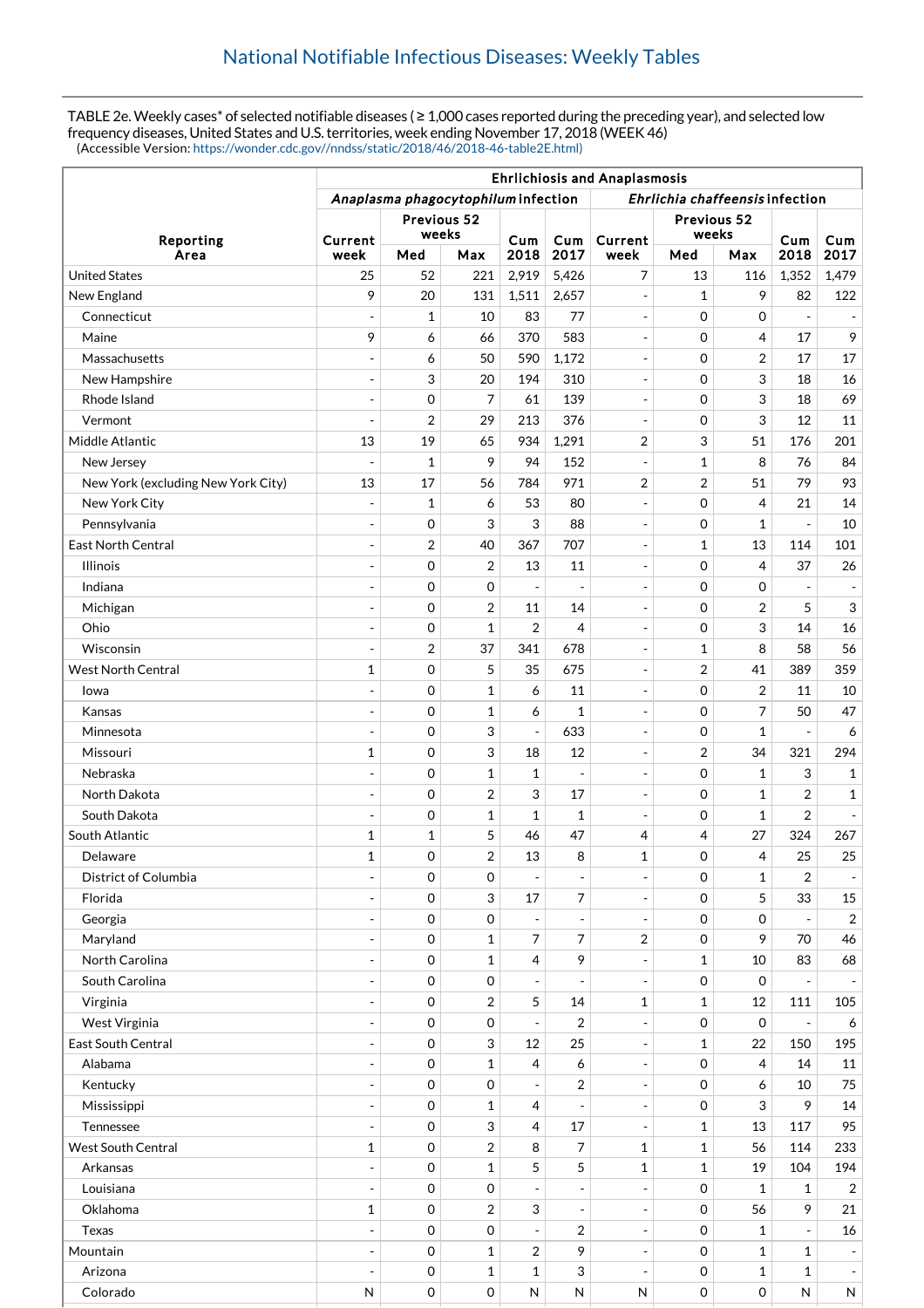TABLE 2e. Weekly cases\* of selected notifiable diseases ( ≥ 1,000 cases reported during the preceding year), and selected low frequency diseases, United States and U.S. territories, week ending November 17, 2018 (WEEK 46) (Accessible Version: [https://wonder.cdc.gov//nndss/static/2018/46/2018-46-table2E.html\)](https://wonder.cdc.gov//nndss/static/2018/46/2018-46-table2E.html)

|                                    | <b>Ehrlichiosis and Anaplasmosis</b>                                   |                  |                     |                          |                          |                          |                      |                |                          |                               |
|------------------------------------|------------------------------------------------------------------------|------------------|---------------------|--------------------------|--------------------------|--------------------------|----------------------|----------------|--------------------------|-------------------------------|
|                                    | Ehrlichia chaffeensis infection<br>Anaplasma phagocytophilum infection |                  |                     |                          |                          |                          |                      |                |                          |                               |
| Reporting<br>Area                  | Previous 52<br>weeks                                                   |                  |                     |                          |                          |                          | Previous 52<br>weeks |                |                          |                               |
|                                    | Current<br>week                                                        | Med              | Max                 | Cum<br>2018              | Cum<br>2017              | Current<br>week          | Med                  | Max            | Cum<br>2018              | Cum<br>2017                   |
| <b>United States</b>               | 25                                                                     | 52               | 221                 | 2,919                    | 5,426                    | 7                        | 13                   | 116            | 1,352                    | 1,479                         |
| New England                        | 9                                                                      | 20               | 131                 | 1,511                    | 2,657                    | $\overline{\phantom{a}}$ | $\mathbf{1}$         | 9              | 82                       | 122                           |
| Connecticut                        | $\blacksquare$                                                         | 1                | 10                  | 83                       | 77                       | $\overline{\phantom{a}}$ | $\mathbf 0$          | $\mathbf 0$    | $\sim$                   | $\overline{\phantom{a}}$      |
| Maine                              | 9                                                                      | 6                | 66                  | 370                      | 583                      | $\overline{\phantom{a}}$ | $\mathbf 0$          | 4              | 17                       | 9                             |
| Massachusetts                      | $\overline{\phantom{a}}$                                               | 6                | 50                  | 590                      | 1,172                    | $\mathbb{Z}^2$           | $\mathbf 0$          | $\overline{2}$ | 17                       | 17                            |
| New Hampshire                      | $\overline{a}$                                                         | 3                | 20                  | 194                      | 310                      | $\overline{\phantom{a}}$ | $\mathbf 0$          | 3              | 18                       | 16                            |
| Rhode Island                       | $\overline{\phantom{a}}$                                               | 0                | 7                   | 61                       | 139                      | $\overline{\phantom{a}}$ | $\mathbf 0$          | 3              | 18                       | 69                            |
| Vermont                            | $\overline{a}$                                                         | 2                | 29                  | 213                      | 376                      | $\sim$                   | $\mathbf 0$          | 3              | 12                       | 11                            |
| Middle Atlantic                    | 13                                                                     | 19               | 65                  | 934                      | 1,291                    | 2                        | 3                    | 51             | 176                      | 201                           |
| New Jersey                         |                                                                        | $\mathbf{1}$     | 9                   | 94                       | 152                      | $\overline{\phantom{a}}$ | $\mathbf{1}$         | 8              | 76                       | 84                            |
| New York (excluding New York City) | 13                                                                     | 17               | 56                  | 784                      | 971                      | 2                        | 2                    | 51             | 79                       | 93                            |
| New York City                      | $\blacksquare$                                                         | $\mathbf 1$      | 6                   | 53                       | 80                       | $\overline{\phantom{a}}$ | $\mathbf 0$          | $\overline{4}$ | 21                       | 14                            |
| Pennsylvania                       |                                                                        | 0                | 3                   | 3                        | 88                       | $\overline{\phantom{a}}$ | 0                    | $\mathbf{1}$   |                          | 10                            |
| <b>East North Central</b>          | $\blacksquare$                                                         | 2                | 40                  | 367                      | 707                      | $\blacksquare$           | 1                    | 13             | 114                      | 101                           |
| <b>Illinois</b>                    | ÷,                                                                     | 0                | $\overline{2}$      | 13                       | 11                       | $\frac{1}{2}$            | $\mathbf 0$          | 4              | 37                       | 26                            |
| Indiana                            | ÷                                                                      | 0                | 0                   | $\overline{\phantom{a}}$ | $\overline{a}$           | $\overline{\phantom{a}}$ | $\mathbf 0$          | $\mathbf 0$    |                          | $\overline{\phantom{a}}$      |
| Michigan                           | ÷,                                                                     | 0                | $\overline{2}$      | 11                       | 14                       | $\blacksquare$           | $\mathbf 0$          | $\overline{2}$ | 5                        | 3                             |
| Ohio                               | $\sim$                                                                 | 0                | $\mathbf{1}$        | $\overline{2}$           | 4                        | $\overline{\phantom{a}}$ | $\mathbf 0$          | 3              | 14                       | 16                            |
| Wisconsin                          | $\overline{a}$                                                         | 2                | 37                  | 341                      | 678                      | $\overline{\phantom{a}}$ | 1                    | 8              | 58                       | 56                            |
| <b>West North Central</b>          | $\mathbf{1}$                                                           | 0                | 5                   | 35                       | 675                      | $\overline{\phantom{a}}$ | 2                    | 41             | 389                      | 359                           |
| lowa                               | $\overline{a}$                                                         | 0                | 1                   | 6                        | 11                       | $\overline{\phantom{a}}$ | $\mathbf 0$          | $\overline{2}$ | 11                       | 10                            |
| Kansas                             |                                                                        | 0                | 1                   | 6                        | 1                        | $\overline{\phantom{a}}$ | $\mathbf 0$          | 7              | 50                       | 47                            |
| Minnesota                          | $\blacksquare$                                                         | 0                | 3                   | $\overline{\phantom{a}}$ | 633                      | $\overline{\phantom{a}}$ | 0                    | $\mathbf{1}$   |                          | 6                             |
| Missouri                           | $\mathbf{1}$                                                           | 0                | 3                   | 18                       | 12                       | $\overline{\phantom{a}}$ | 2                    | 34             | 321                      | 294                           |
| Nebraska                           | $\blacksquare$                                                         | 0                | 1                   | $\mathbf{1}$             | $\overline{\phantom{a}}$ | $\overline{\phantom{a}}$ | $\mathbf 0$          | $\mathbf{1}$   | 3                        | $\mathbf{1}$                  |
| North Dakota                       | ÷,                                                                     | 0                | $\overline{2}$      | 3                        | 17                       | $\overline{\phantom{a}}$ | $\mathbf 0$          | $\mathbf{1}$   | 2                        | $\mathbf{1}$                  |
| South Dakota                       | $\blacksquare$                                                         | 0                | 1                   | $\mathbf{1}$             | 1                        | $\overline{\phantom{a}}$ | $\mathbf 0$          | $\mathbf{1}$   | 2                        | $\overline{\phantom{a}}$      |
| South Atlantic                     | 1                                                                      | $\mathbf{1}$     | 5                   | 46                       | 47                       | 4                        | 4                    | 27             | 324                      | 267                           |
| Delaware                           | $\mathbf{1}$                                                           | $\Omega$         | $\overline{2}$      | 13                       | 8                        | $\mathbf 1$              | $\Omega$             | 4              | 25                       | 25                            |
| District of Columbia               | $\overline{a}$                                                         | 0                | 0                   | $\overline{\phantom{a}}$ | ÷,                       | ÷,                       | $\mathbf 0$          | 1              | 2                        | $\overline{\phantom{a}}$      |
| Florida                            |                                                                        | 0                | 3                   | 17                       | 7                        | $\Box$                   | $\mathbf 0$          | 5              | 33                       | 15                            |
| Georgia                            |                                                                        | $\mathbf 0$      | 0                   | $\overline{\phantom{a}}$ | ÷,                       | $\overline{\phantom{a}}$ | 0                    | $\mathbf 0$    |                          | $\overline{2}$                |
| Maryland                           |                                                                        | 0                | 1                   | 7                        | 7                        | 2                        | 0                    | 9              | 70                       | 46                            |
| North Carolina                     | $\overline{a}$                                                         | 0                | $\mathbf 1$         | 4                        | 9                        | $\overline{\phantom{a}}$ | $\mathbf{1}$         | 10             | 83                       | 68                            |
| South Carolina                     |                                                                        | 0                | 0                   | $\blacksquare$           | ÷,                       | $\overline{\phantom{a}}$ | 0                    | $\mathbf 0$    |                          | $\overline{\phantom{a}}$      |
| Virginia                           | $\overline{a}$                                                         | 0                | $\overline{c}$      | 5                        | 14                       | $\mathbf 1$              | $\mathbf{1}$         | $12\,$         | 111                      | 105                           |
| West Virginia                      | $\overline{a}$                                                         | $\mathbf 0$      | 0                   | $\overline{\phantom{a}}$ | 2                        | $\overline{\phantom{a}}$ | 0                    | $\mathbf 0$    |                          | 6                             |
| East South Central                 | $\overline{\phantom{a}}$                                               | 0                | 3                   | 12                       | 25                       | $\overline{\phantom{a}}$ | 1                    | 22             | 150                      | 195                           |
| Alabama                            | ÷,                                                                     | 0                | $\mathbf{1}$        | 4                        | 6                        | $\overline{\phantom{a}}$ | 0                    | 4              | 14                       | 11                            |
| Kentucky                           | $\overline{\phantom{a}}$                                               | 0                | 0                   | $\blacksquare$           | $\overline{2}$           | $\overline{\phantom{a}}$ | 0                    | 6              | 10                       | 75                            |
| Mississippi                        | $\overline{a}$                                                         | 0                | $\mathbf{1}$        | 4                        |                          | $\overline{\phantom{a}}$ | 0                    | 3              | 9                        | 14                            |
| Tennessee                          | $\overline{a}$                                                         | 0                | 3                   | 4                        | 17                       | $\overline{\phantom{a}}$ | 1                    | 13             | 117                      | 95                            |
| <b>West South Central</b>          | $\mathbf 1$                                                            | 0                | $\overline{c}$      | 8                        | 7                        | $\mathbf 1$              | $\mathbf{1}$         | 56             | 114                      | 233                           |
| Arkansas                           |                                                                        | 0                | $\mathbf{1}$        | 5                        | 5                        | $\mathbf{1}$             | $\mathbf{1}$         | 19             | 104                      | 194                           |
| Louisiana                          | $\overline{\phantom{a}}$                                               | 0                | 0                   | $\blacksquare$           | $\overline{a}$           | $\overline{\phantom{a}}$ | 0                    | $\mathbf{1}$   | $\mathbf{1}$             | $\overline{2}$                |
| Oklahoma                           | $\mathbf{1}$                                                           | 0                | $\overline{c}$      | 3                        | ÷,                       | $\overline{\phantom{a}}$ | 0                    | 56             | 9                        | 21                            |
| Texas                              | $\blacksquare$                                                         | 0                | 0                   | $\overline{\phantom{a}}$ | 2                        | $\overline{\phantom{a}}$ | 0                    | $\mathbf{1}$   | $\overline{\phantom{a}}$ | 16                            |
| Mountain                           | $\overline{\phantom{a}}$                                               | 0                | 1                   | 2                        | 9                        | $\overline{\phantom{a}}$ | 0                    | $\mathbf{1}$   | 1                        | $\blacksquare$                |
| Arizona                            | $\overline{\phantom{a}}$                                               | 0                | $\mathbf 1$         | $\mathbf{1}$             | 3                        | $\Box$                   | 0                    | $\mathbf{1}$   | 1                        |                               |
| Colorado                           | $\mathsf{N}$                                                           | $\boldsymbol{0}$ | $\mathsf{O}\xspace$ | ${\sf N}$                | ${\sf N}$                | N                        | $\mathsf{O}\xspace$  | 0              | N                        | $\overline{\phantom{a}}$<br>N |
|                                    |                                                                        |                  |                     |                          |                          |                          |                      |                |                          |                               |